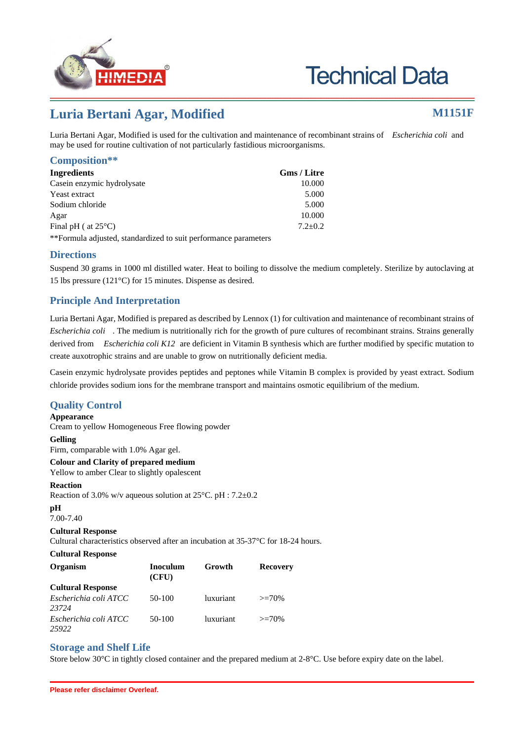

# **Technical Data**

## **Luria Bertani Agar, Modified M1151F**

Luria Bertani Agar, Modified is used for the cultivation and maintenance of recombinant strains of *Escherichia coli* and may be used for routine cultivation of not particularly fastidious microorganisms.

#### **Composition\*\***

| Ingredients                                                     | Gms / Litre |
|-----------------------------------------------------------------|-------------|
| Casein enzymic hydrolysate                                      | 10.000      |
| Yeast extract                                                   | 5.000       |
| Sodium chloride                                                 | 5.000       |
| Agar                                                            | 10.000      |
| Final pH ( at $25^{\circ}$ C)                                   | $7.2 + 0.2$ |
| **Formula adjusted, standardized to suit performance parameters |             |

#### **Directions**

Suspend 30 grams in 1000 ml distilled water. Heat to boiling to dissolve the medium completely. Sterilize by autoclaving at 15 lbs pressure (121°C) for 15 minutes. Dispense as desired.

### **Principle And Interpretation**

Luria Bertani Agar, Modified is prepared as described by Lennox (1) for cultivation and maintenance of recombinant strains of *Escherichia coli* . The medium is nutritionally rich for the growth of pure cultures of recombinant strains. Strains generally derived from *Escherichia coli K12* are deficient in Vitamin B synthesis which are further modified by specific mutation to create auxotrophic strains and are unable to grow on nutritionally deficient media.

Casein enzymic hydrolysate provides peptides and peptones while Vitamin B complex is provided by yeast extract. Sodium chloride provides sodium ions for the membrane transport and maintains osmotic equilibrium of the medium.

#### **Quality Control**

#### **Appearance**

Cream to yellow Homogeneous Free flowing powder

#### **Gelling**

Firm, comparable with 1.0% Agar gel.

**Colour and Clarity of prepared medium** Yellow to amber Clear to slightly opalescent

#### **Reaction**

Reaction of 3.0% w/v aqueous solution at 25°C. pH : 7.2±0.2

#### **pH**

7.00-7.40

#### **Cultural Response**

Cultural characteristics observed after an incubation at 35-37°C for 18-24 hours.

**Cultural Response**

| <b>Organism</b>          | Inoculum<br>(CFU) | Growth           | <b>Recovery</b> |
|--------------------------|-------------------|------------------|-----------------|
| <b>Cultural Response</b> |                   |                  |                 |
| Escherichia coli ATCC    | 50-100            | <i>luxuriant</i> | $>=70%$         |
| 23724                    |                   |                  |                 |
| Escherichia coli ATCC    | 50-100            | <i>luxuriant</i> | $>=70%$         |
| 25922                    |                   |                  |                 |

#### **Storage and Shelf Life**

Store below 30°C in tightly closed container and the prepared medium at 2-8°C. Use before expiry date on the label.